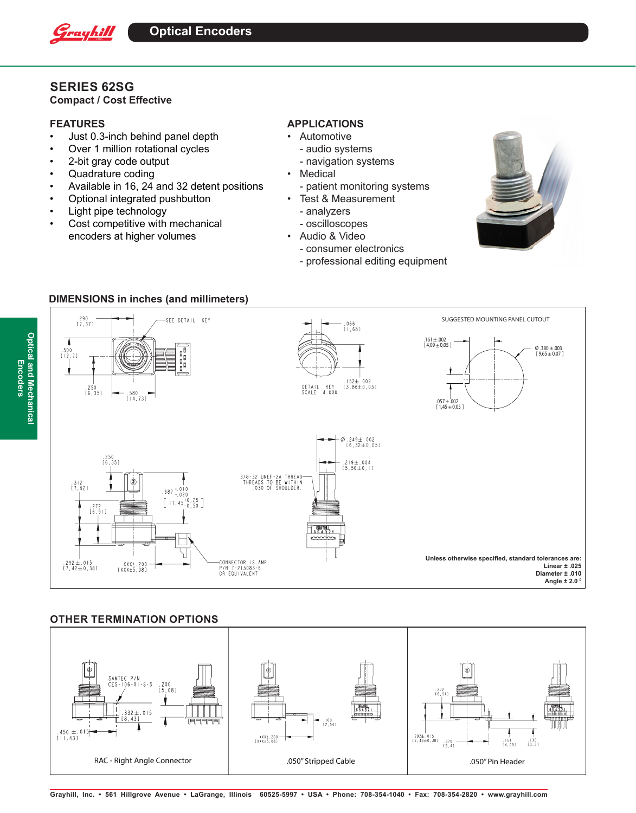

# **SERIES 62SG**

**Compact / Cost Effective**

### **FEATURES**

**Optical and Mechanical Encoders**

**Optical and Mechanical** 

Encoders

- Just 0.3-inch behind panel depth
- Over 1 million rotational cycles
- 2-bit gray code output
- Quadrature coding
- Available in 16, 24 and 32 detent positions
- Optional integrated pushbutton
- Light pipe technology
- Cost competitive with mechanical encoders at higher volumes

## **APPLICATIONS**

- Automotive
	- audio systems
	- navigation systems
- Medical
- patient monitoring systems
- Test & Measurement
	- analyzers
	- oscilloscopes
- Audio & Video
	- consumer electronics
	- professional editing equipment



## **DIMENSIONS in inches (and millimeters)**



## **OTHER TERMINATION OPTIONS**

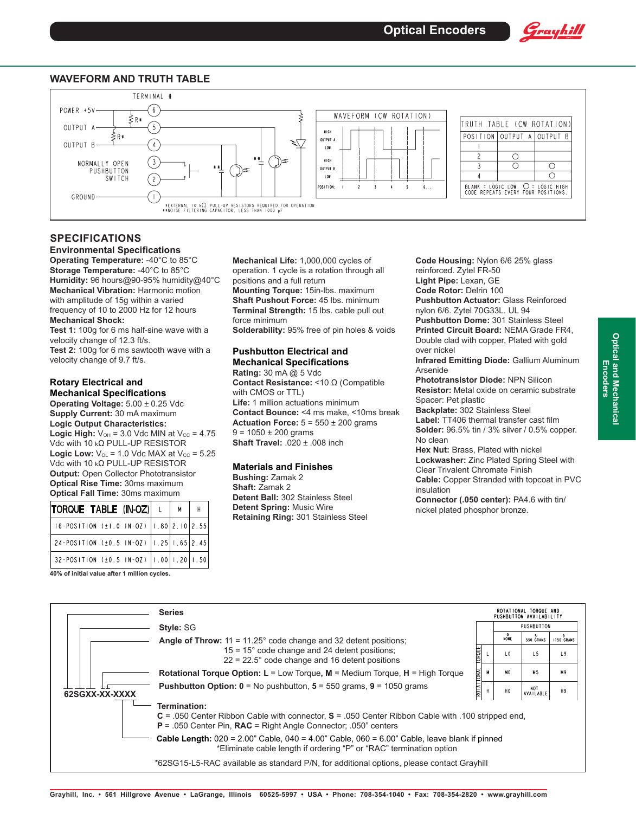

#### **WAVEFORM AND TRUTH TABLE**



## **SPECIFICATIONS**

#### **Environmental Specifications Operating Temperature:** -40°C to 85°C

**Storage Temperature:** -40°C to 85°C **Humidity:** 96 hours@90-95% humidity@40°C **Mechanical Vibration:** Harmonic motion with amplitude of 15g within a varied frequency of 10 to 2000 Hz for 12 hours **Mechanical Shock:**

**Test 1:** 100g for 6 ms half-sine wave with a velocity change of 12.3 ft/s. **Test 2:** 100g for 6 ms sawtooth wave with a velocity change of 9.7 ft/s.

#### **Rotary Electrical and Mechanical Specifications**

**Operating Voltage:** 5.00 ± 0.25 Vdc **Supply Current:** 30 mA maximum **Logic Output Characteristics: Logic High:**  $V_{OH} = 3.0$  Vdc MIN at  $V_{CC} = 4.75$ Vdc with 10 kΩ PULL-UP RESISTOR **Logic Low:**  $V_{OL} = 1.0$  Vdc MAX at  $V_{CC} = 5.25$ Vdc with 10 kΩ PULL-UP RESISTOR **Output:** Open Collector Phototransistor **Optical Rise Time:** 30ms maximum **Optical Fall Time:** 30ms maximum

| TORQUE TABLE (IN-OZ) L                               | <b>M</b> |  |
|------------------------------------------------------|----------|--|
| 16-POSITION $(\pm 1.0 \text{ IN}-0Z)$ 1.80 2.10 2.55 |          |  |
| 24-POSITION (±0.5 IN-OZ)   1.25   1.65   2.45        |          |  |
| 32-POSITION (±0.5 IN-OZ)   1.00   1.20   1.50        |          |  |

**40% of initial value after 1 million cycles.** 

**Mechanical Life:** 1,000,000 cycles of operation. 1 cycle is a rotation through all positions and a full return **Mounting Torque:** 15in-lbs. maximum **Shaft Pushout Force:** 45 lbs. minimum **Terminal Strength:** 15 lbs. cable pull out force minimum

**Solderability:** 95% free of pin holes & voids

#### **Pushbutton Electrical and Mechanical Specifications**

**Rating:** 30 mA @ 5 Vdc **Contact Resistance:** <10 Ω (Compatible with CMOS or TTL) **Life:** 1 million actuations minimum **Contact Bounce:** <4 ms make, <10ms break **Actuation Force:**  $5 = 550 \pm 200$  grams  $9 = 1050 \pm 200$  grams **Shaft Travel:** .020 ± .008 inch

#### **Materials and Finishes**

**Bushing:** Zamak 2 **Shaft:** Zamak 2 **Detent Ball:** 302 Stainless Steel **Detent Spring:** Music Wire **Retaining Ring:** 301 Stainless Steel reinforced. Zytel FR-50 **Light Pipe:** Lexan, GE **Code Rotor:** Delrin 100 **Pushbutton Actuator:** Glass Reinforced nylon 6/6. Zytel 70G33L. UL 94 **Pushbutton Dome:** 301 Stainless Steel **Printed Circuit Board:** NEMA Grade FR4, Double clad with copper, Plated with gold over nickel **Infrared Emitting Diode:** Gallium Aluminum

**Code Housing:** Nylon 6/6 25% glass

Arsenide

**Phototransistor Diode:** NPN Silicon **Resistor:** Metal oxide on ceramic substrate Spacer: Pet plastic

**Backplate:** 302 Stainless Steel **Label:** TT406 thermal transfer cast film **Solder:** 96.5% tin / 3% silver / 0.5% copper. No clean

**Hex Nut:** Brass, Plated with nickel **Lockwasher:** Zinc Plated Spring Steel with Clear Trivalent Chromate Finish **Cable:** Copper Stranded with topcoat in PVC

insulation

**Connector (.050 center):** PA4.6 with tin/ nickel plated phosphor bronze.

|                             | <b>Series</b>                                                                                                                                                                                                                                                                                                                                                                             |            |  |                |                         | ROTATIONAL TORQUE AND<br>PUSHBUTTON AVAILABILITY |  |  |
|-----------------------------|-------------------------------------------------------------------------------------------------------------------------------------------------------------------------------------------------------------------------------------------------------------------------------------------------------------------------------------------------------------------------------------------|------------|--|----------------|-------------------------|--------------------------------------------------|--|--|
| Style: SG<br>62SGXX-XX-XXXX |                                                                                                                                                                                                                                                                                                                                                                                           |            |  | PUSHBUTTON     |                         |                                                  |  |  |
|                             | <b>Angle of Throw:</b> $11 = 11.25^{\circ}$ code change and 32 detent positions;                                                                                                                                                                                                                                                                                                          | OROUE      |  | NONE           | 550 GRAMS               | 1050 GRAMS                                       |  |  |
|                             | $15 = 15^{\circ}$ code change and 24 detent positions;<br>$22 = 22.5^{\circ}$ code change and 16 detent positions                                                                                                                                                                                                                                                                         |            |  | L0             | L 5                     | L9                                               |  |  |
|                             | <b>Rotational Torque Option: L</b> = Low Torque, $M$ = Medium Torque, $H$ = High Torque                                                                                                                                                                                                                                                                                                   |            |  | M <sub>0</sub> | M <sub>5</sub>          | M9                                               |  |  |
|                             | <b>Pushbutton Option: 0</b> = No pushbutton, $5 = 550$ grams, $9 = 1050$ grams                                                                                                                                                                                                                                                                                                            | ROTATIONAL |  | HO             | <b>NOT</b><br>AVAILABLE | H <sub>9</sub>                                   |  |  |
|                             | Termination:<br>$C = 0.050$ Center Ribbon Cable with connector, $S = 0.050$ Center Ribbon Cable with 100 stripped end,<br>$P = .050$ Center Pin, <b>RAC</b> = Right Angle Connector; .050" centers<br><b>Cable Length:</b> $020 = 2.00$ " Cable, $040 = 4.00$ " Cable, $060 = 6.00$ " Cable, leave blank if pinned<br>*Eliminate cable length if ordering "P" or "RAC" termination option |            |  |                |                         |                                                  |  |  |

\*62SG15-L5-RAC available as standard P/N, for additional options, please contact Grayhill